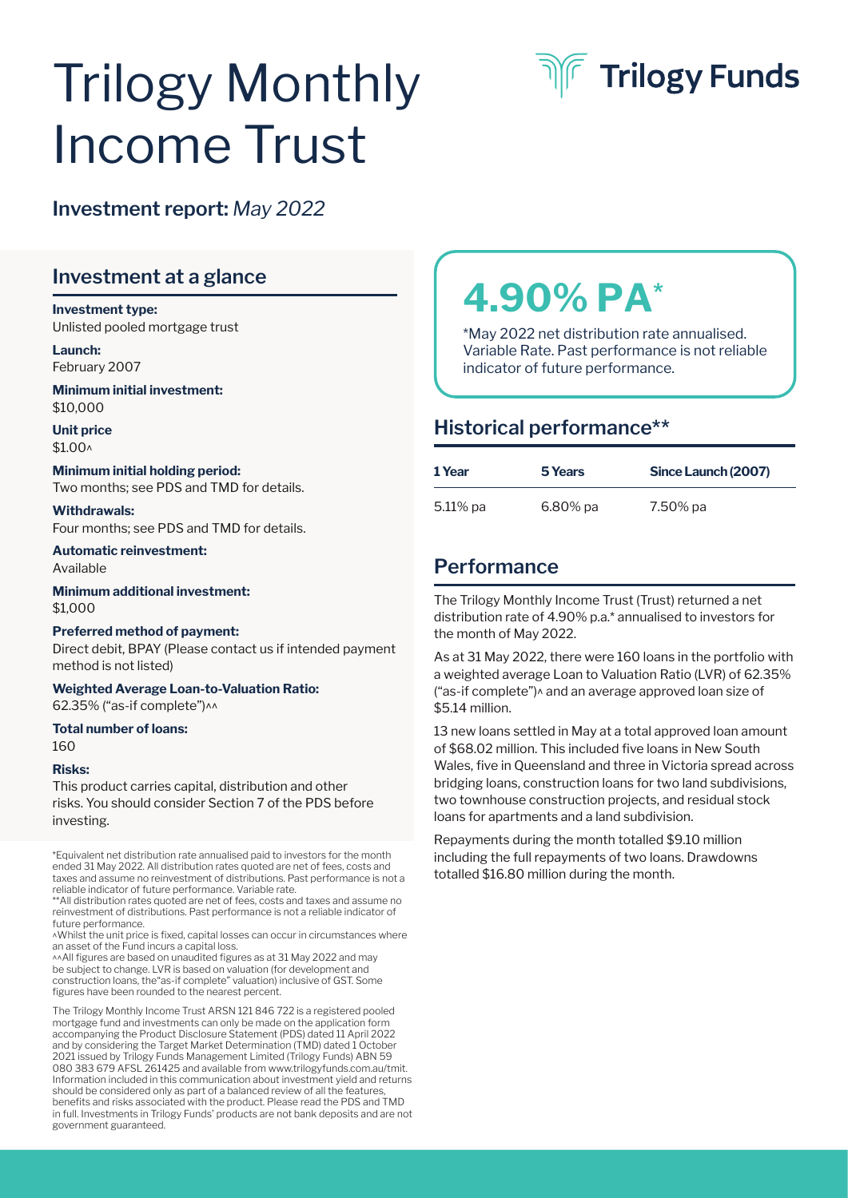# Trilogy Monthly Income Trust



## **Investment report:** *May 2022*

## **Investment at a glance**

#### **Investment type:**  Unlisted pooled mortgage trust

**Launch:** February 2007

**Minimum initial investment:**  \$10,000

**Unit price**  \$1.00^

#### **Minimum initial holding period:**  Two months; see PDS and TMD for details.

## **Withdrawals:**

Four months; see PDS and TMD for details.

**Automatic reinvestment:**  Available

**Minimum additional investment:**  \$1,000

#### **Preferred method of payment:**  Direct debit, BPAY (Please contact us if intended payment method is not listed)

**Weighted Average Loan-to-Valuation Ratio:**  62.35% ("as-if complete")^^

**Total number of loans:**

160

#### **Risks:**

This product carries capital, distribution and other risks. You should consider Section 7 of the PDS before investing.

\*Equivalent net distribution rate annualised paid to investors for the month ended 31 May 2022. All distribution rates quoted are net of fees, costs and taxes and assume no reinvestment of distributions. Past performance is not a reliable indicator of future performance. Variable rate.

\*\*All distribution rates quoted are net of fees, costs and taxes and assume no reinvestment of distributions. Past performance is not a reliable indicator of future performance.

^Whilst the unit price is fixed, capital losses can occur in circumstances where an asset of the Fund incurs a capital loss.

^^All figures are based on unaudited figures as at 31 May 2022 and may be subject to change. LVR is based on valuation (for development and construction loans, the"as-if complete" valuation) inclusive of GST. Some figures have been rounded to the nearest percent.

The Trilogy Monthly Income Trust ARSN 121 846 722 is a registered pooled mortgage fund and investments can only be made on the application form accompanying the Product Disclosure Statement (PDS) dated 11 April 2022 and by considering the Target Market Determination (TMD) dated 1 October 2021 issued by Trilogy Funds Management Limited (Trilogy Funds) ABN 59 080 383 679 AFSL 261425 and available from www.trilogyfunds.com.au/tmit. Information included in this communication about investment yield and returns should be considered only as part of a balanced review of all the features, benefits and risks associated with the product. Please read the PDS and TMD in full. Investments in Trilogy Funds' products are not bank deposits and are not government guaranteed.

## **4.90% PA\***

\*May 2022 net distribution rate annualised. Variable Rate. Past performance is not reliable indicator of future performance.

## **Historical performance\*\***

| 1 Year   | 5 Years  | Since Launch (2007) |
|----------|----------|---------------------|
| 5.11% pa | 6.80% pa | 7.50% pa            |

## **Performance**

The Trilogy Monthly Income Trust (Trust) returned a net distribution rate of 4.90% p.a.\* annualised to investors for the month of May 2022.

As at 31 May 2022, there were 160 loans in the portfolio with a weighted average Loan to Valuation Ratio (LVR) of 62.35% ("as-if complete")^ and an average approved loan size of \$5.14 million.

13 new loans settled in May at a total approved loan amount of \$68.02 million. This included five loans in New South Wales, five in Queensland and three in Victoria spread across bridging loans, construction loans for two land subdivisions, two townhouse construction projects, and residual stock loans for apartments and a land subdivision.

Repayments during the month totalled \$9.10 million including the full repayments of two loans. Drawdowns totalled \$16.80 million during the month.